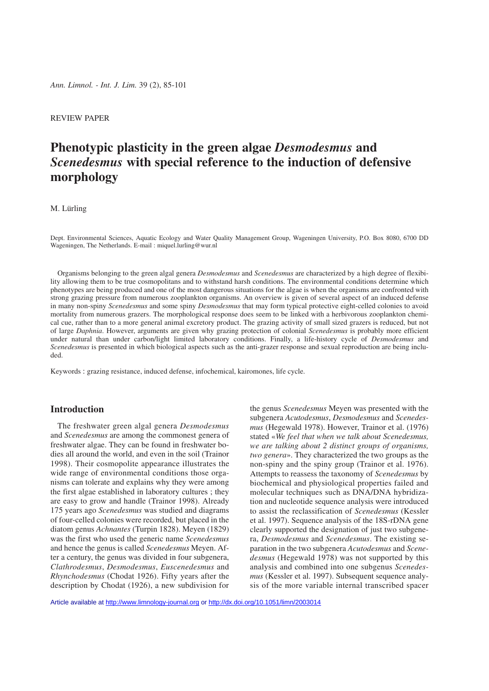*Ann. Limnol. - Int. J. Lim.* 39 (2), 85-101

REVIEW PAPER

# **Phenotypic plasticity in the green algae** *Desmodesmus* **and** *Scenedesmus* **with special reference to the induction of defensive morphology**

## M. Lürling

Dept. Environmental Sciences, Aquatic Ecology and Water Quality Management Group, Wageningen University, P.O. Box 8080, 6700 DD Wageningen, The Netherlands. E-mail : miquel.lurling@wur.nl

Organisms belonging to the green algal genera *Desmodesmus* and *Scenedesmus* are characterized by a high degree of flexibility allowing them to be true cosmopolitans and to withstand harsh conditions. The environmental conditions determine which phenotypes are being produced and one of the most dangerous situations for the algae is when the organisms are confronted with strong grazing pressure from numerous zooplankton organisms. An overview is given of several aspect of an induced defense in many non-spiny *Scenedesmus* and some spiny *Desmodesmus* that may form typical protective eight-celled colonies to avoid mortality from numerous grazers. The morphological response does seem to be linked with a herbivorous zooplankton chemical cue, rather than to a more general animal excretory product. The grazing activity of small sized grazers is reduced, but not of large *Daphnia*. However, arguments are given why grazing protection of colonial *Scenedesmus* is probably more efficient under natural than under carbon/light limited laboratory conditions. Finally, a life-history cycle of *Desmodesmus* and *Scenedesmus* is presented in which biological aspects such as the anti-grazer response and sexual reproduction are being included.

Keywords : grazing resistance, induced defense, infochemical, kairomones, life cycle.

# **Introduction**

The freshwater green algal genera *Desmodesmus* and *Scenedesmus* are among the commonest genera of freshwater algae. They can be found in freshwater bodies all around the world, and even in the soil (Trainor 1998). Their cosmopolite appearance illustrates the wide range of environmental conditions those organisms can tolerate and explains why they were among the first algae established in laboratory cultures ; they are easy to grow and handle (Trainor 1998). Already 175 years ago *Scenedesmus* was studied and diagrams of four-celled colonies were recorded, but placed in the diatom genus *Achnantes* (Turpin 1828). Meyen (1829) was the first who used the generic name *Scenedesmus* and hence the genus is called *Scenedesmus* Meyen. After a century, the genus was divided in four subgenera, *Clathrodesmus*, *Desmodesmus*, *Euscenedesmus* and *Rhynchodesmus* (Chodat 1926). Fifty years after the description by Chodat (1926), a new subdivision for the genus *Scenedesmus* Meyen was presented with the subgenera *Acutodesmus*, *Desmodesmus* and *Scenedesmus* (Hegewald 1978). However, Trainor et al. (1976) stated «*We feel that when we talk about Scenedesmus, we are talking about 2 distinct groups of organisms, two genera*». They characterized the two groups as the non-spiny and the spiny group (Trainor et al. 1976). Attempts to reassess the taxonomy of *Scenedesmus* by biochemical and physiological properties failed and molecular techniques such as DNA/DNA hybridization and nucleotide sequence analysis were introduced to assist the reclassification of *Scenedesmus* (Kessler et al. 1997). Sequence analysis of the 18S-rDNA gene clearly supported the designation of just two subgenera, *Desmodesmus* and *Scenedesmus*. The existing separation in the two subgenera *Acutodesmus* and *Scenedesmus* (Hegewald 1978) was not supported by this analysis and combined into one subgenus *Scenedesmus* (Kessler et al. 1997). Subsequent sequence analysis of the more variable internal transcribed spacer

Article available at <http://www.limnology-journal.org> or <http://dx.doi.org/10.1051/limn/2003014>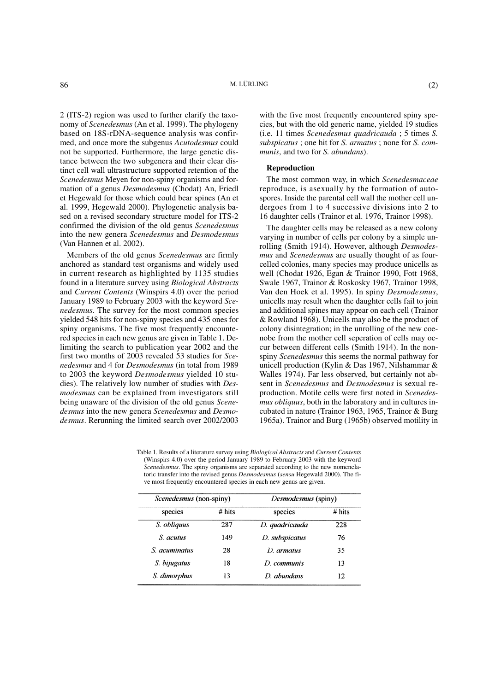2 (ITS-2) region was used to further clarify the taxonomy of *Scenedesmus* (An et al. 1999). The phylogeny based on 18S-rDNA-sequence analysis was confirmed, and once more the subgenus *Acutodesmus* could not be supported. Furthermore, the large genetic distance between the two subgenera and their clear distinct cell wall ultrastructure supported retention of the *Scenedesmus* Meyen for non-spiny organisms and formation of a genus *Desmodesmus* (Chodat) An, Friedl et Hegewald for those which could bear spines (An et al. 1999, Hegewald 2000). Phylogenetic analysis based on a revised secondary structure model for ITS-2 confirmed the division of the old genus *Scenedesmus* into the new genera *Scenedesmus* and *Desmodesmus* (Van Hannen et al. 2002).

Members of the old genus *Scenedesmus* are firmly anchored as standard test organisms and widely used in current research as highlighted by 1135 studies found in a literature survey using *Biological Abstracts* and *Current Contents* (Winspirs 4.0) over the period January 1989 to February 2003 with the keyword *Scenedesmus*. The survey for the most common species yielded 548 hits for non-spiny species and 435 ones for spiny organisms. The five most frequently encountered species in each new genus are given in Table 1. Delimiting the search to publication year 2002 and the first two months of 2003 revealed 53 studies for *Scenedesmus* and 4 for *Desmodesmus* (in total from 1989 to 2003 the keyword *Desmodesmus* yielded 10 studies). The relatively low number of studies with *Desmodesmus* can be explained from investigators still being unaware of the division of the old genus *Scenedesmus* into the new genera *Scenedesmus* and *Desmodesmus*. Rerunning the limited search over 2002/2003 with the five most frequently encountered spiny species, but with the old generic name, yielded 19 studies (i.e. 11 times *Scenedesmus quadricauda* ; 5 times *S. subspicatus* ; one hit for *S. armatus* ; none for *S. communis*, and two for *S. abundans*).

### **Reproduction**

The most common way, in which *Scenedesmaceae* reproduce, is asexually by the formation of autospores. Inside the parental cell wall the mother cell undergoes from 1 to 4 successive divisions into 2 to 16 daughter cells (Trainor et al. 1976, Trainor 1998).

The daughter cells may be released as a new colony varying in number of cells per colony by a simple unrolling (Smith 1914). However, although *Desmodesmus* and *Scenedesmus* are usually thought of as fourcelled colonies, many species may produce unicells as well (Chodat 1926, Egan & Trainor 1990, Fott 1968, Swale 1967, Trainor & Roskosky 1967, Trainor 1998, Van den Hoek et al. 1995). In spiny *Desmodesmus*, unicells may result when the daughter cells fail to join and additional spines may appear on each cell (Trainor & Rowland 1968). Unicells may also be the product of colony disintegration; in the unrolling of the new coenobe from the mother cell seperation of cells may occur between different cells (Smith 1914). In the nonspiny *Scenedesmus* this seems the normal pathway for unicell production (Kylin & Das 1967, Nilshammar & Walles 1974). Far less observed, but certainly not absent in *Scenedesmus* and *Desmodesmus* is sexual reproduction. Motile cells were first noted in *Scenedesmus obliquus*, both in the laboratory and in cultures incubated in nature (Trainor 1963, 1965, Trainor & Burg 1965a). Trainor and Burg (1965b) observed motility in

Table 1. Results of a literature survey using *Biological Abstracts* and *Current Contents* (Winspirs 4.0) over the period January 1989 to February 2003 with the keyword *Scenedesmus*. The spiny organisms are separated according to the new nomenclatoric transfer into the revised genus *Desmodesmus* (*sensu* Hegewald 2000). The five most frequently encountered species in each new genus are given.

|                      | Scenedesmus (non-spiny) |                | Desmodesmus (spiny) |  |  |
|----------------------|-------------------------|----------------|---------------------|--|--|
| species              | # hits                  | species        | # hits              |  |  |
| S. <i>obliquus</i>   | 287                     | D. quadricauda | 228                 |  |  |
| <i>S</i> acutus      | 149                     | D. subspicatus | 76                  |  |  |
| <i>S. acuminatus</i> | 28                      | D armatus      | 35                  |  |  |
| S. bijugatus         | 18                      | D. communis    | 13                  |  |  |
| S. dimorphus         | 13                      | D. abundans    | 12                  |  |  |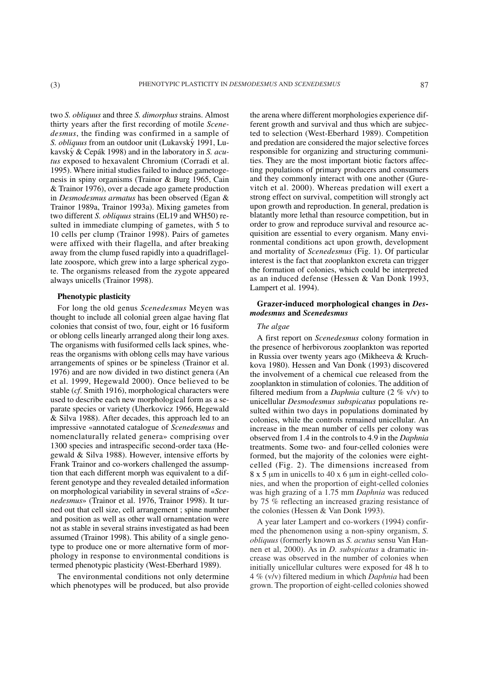two *S. obliquus* and three *S. dimorphus* strains. Almost thirty years after the first recording of motile *Scenedesmus*, the finding was confirmed in a sample of S. obliquus from an outdoor unit (Lukavský 1991, Lukavský & Cepák 1998) and in the laboratory in *S. acutus* exposed to hexavalent Chromium (Corradi et al. 1995). Where initial studies failed to induce gametogenesis in spiny organisms (Trainor & Burg 1965, Cain & Trainor 1976), over a decade ago gamete production in *Desmodesmus armatus* has been observed (Egan & Trainor 1989a, Trainor 1993a). Mixing gametes from two different *S. obliquus* strains (EL19 and WH50) resulted in immediate clumping of gametes, with 5 to 10 cells per clump (Trainor 1998). Pairs of gametes were affixed with their flagella, and after breaking away from the clump fused rapidly into a quadriflagellate zoospore, which grew into a large spherical zygote. The organisms released from the zygote appeared always unicells (Trainor 1998).

#### **Phenotypic plasticity**

For long the old genus *Scenedesmus* Meyen was thought to include all colonial green algae having flat colonies that consist of two, four, eight or 16 fusiform or oblong cells linearly arranged along their long axes. The organisms with fusiformed cells lack spines, whereas the organisms with oblong cells may have various arrangements of spines or be spineless (Trainor et al. 1976) and are now divided in two distinct genera (An et al. 1999, Hegewald 2000). Once believed to be stable (*cf*. Smith 1916), morphological characters were used to describe each new morphological form as a separate species or variety (Uherkovicz 1966, Hegewald & Silva 1988). After decades, this approach led to an impressive «annotated catalogue of *Scenedesmus* and nomenclaturally related genera» comprising over 1300 species and intraspecific second-order taxa (Hegewald & Silva 1988). However, intensive efforts by Frank Trainor and co-workers challenged the assumption that each different morph was equivalent to a different genotype and they revealed detailed information on morphological variability in several strains of «*Scenedesmus*» (Trainor et al. 1976, Trainor 1998). It turned out that cell size, cell arrangement ; spine number and position as well as other wall ornamentation were not as stable in several strains investigated as had been assumed (Trainor 1998). This ability of a single genotype to produce one or more alternative form of morphology in response to environmental conditions is termed phenotypic plasticity (West-Eberhard 1989).

The environmental conditions not only determine which phenotypes will be produced, but also provide the arena where different morphologies experience different growth and survival and thus which are subjected to selection (West-Eberhard 1989). Competition and predation are considered the major selective forces responsible for organizing and structuring communities. They are the most important biotic factors affecting populations of primary producers and consumers and they commonly interact with one another (Gurevitch et al. 2000). Whereas predation will exert a strong effect on survival, competition will strongly act upon growth and reproduction. In general, predation is blatantly more lethal than resource competition, but in order to grow and reproduce survival and resource acquisition are essential to every organism. Many environmental conditions act upon growth, development and mortality of *Scenedesmus* (Fig. 1). Of particular interest is the fact that zooplankton excreta can trigger the formation of colonies, which could be interpreted as an induced defense (Hessen & Van Donk 1993, Lampert et al. 1994).

### **Grazer-induced morphological changes in** *Desmodesmus* **and** *Scenedesmus*

#### *The algae*

A first report on *Scenedesmus* colony formation in the presence of herbivorous zooplankton was reported in Russia over twenty years ago (Mikheeva & Kruchkova 1980). Hessen and Van Donk (1993) discovered the involvement of a chemical cue released from the zooplankton in stimulation of colonies. The addition of filtered medium from a *Daphnia* culture (2 % v/v) to unicellular *Desmodesmus subspicatus* populations resulted within two days in populations dominated by colonies, while the controls remained unicellular. An increase in the mean number of cells per colony was observed from 1.4 in the controls to 4.9 in the *Daphnia* treatments. Some two- and four-celled colonies were formed, but the majority of the colonies were eightcelled (Fig. 2). The dimensions increased from 8 x 5 µm in unicells to 40 x 6 µm in eight-celled colonies, and when the proportion of eight-celled colonies was high grazing of a 1.75 mm *Daphnia* was reduced by 75 % reflecting an increased grazing resistance of the colonies (Hessen & Van Donk 1993).

A year later Lampert and co-workers (1994) confirmed the phenomenon using a non-spiny organism, *S. obliquus* (formerly known as *S. acutus* sensu Van Hannen et al, 2000). As in *D. subspicatus* a dramatic increase was observed in the number of colonies when initially unicellular cultures were exposed for 48 h to 4 % (v/v) filtered medium in which *Daphnia* had been grown. The proportion of eight-celled colonies showed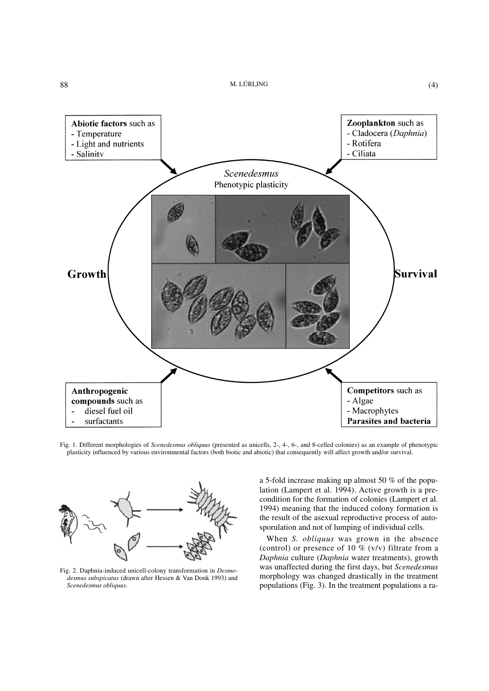

Fig. 1. Different morphologies of *Scenedesmus obliquus* (presented as unicells, 2-, 4-, 6-, and 8-celled colonies) as an example of phenotypic plasticity influenced by various environmental factors (both biotic and abiotic) that consequently will affect growth and/or survival.



Fig. 2. Daphnia-induced unicell-colony transformation in *Desmodesmus subspicatus* (drawn after Hessen & Van Donk 1993) and *Scenedesmus obliquus*.

a 5-fold increase making up almost 50 % of the population (Lampert et al. 1994). Active growth is a precondition for the formation of colonies (Lampert et al. 1994) meaning that the induced colony formation is the result of the asexual reproductive process of autosporulation and not of lumping of individual cells.

When *S. obliquus* was grown in the absence (control) or presence of 10  $\%$  (v/v) filtrate from a *Daphnia* culture (*Daphnia* water treatments), growth was unaffected during the first days, but *Scenedesmus* morphology was changed drastically in the treatment populations (Fig. 3). In the treatment populations a ra-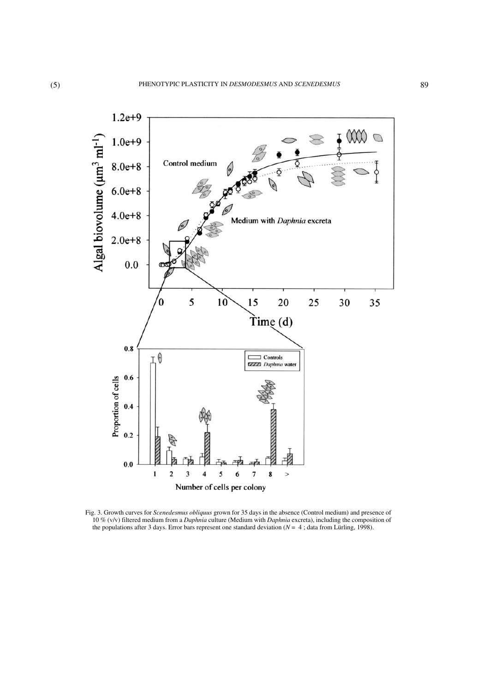

Fig. 3. Growth curves for *Scenedesmus obliquus* grown for 35 days in the absence (Control medium) and presence of 10 % (v/v) filtered medium from a *Daphnia* culture (Medium with *Daphnia* excreta), including the composition of the populations after 3 days. Error bars represent one standard deviation (*N* = 4 ; data from Lürling, 1998).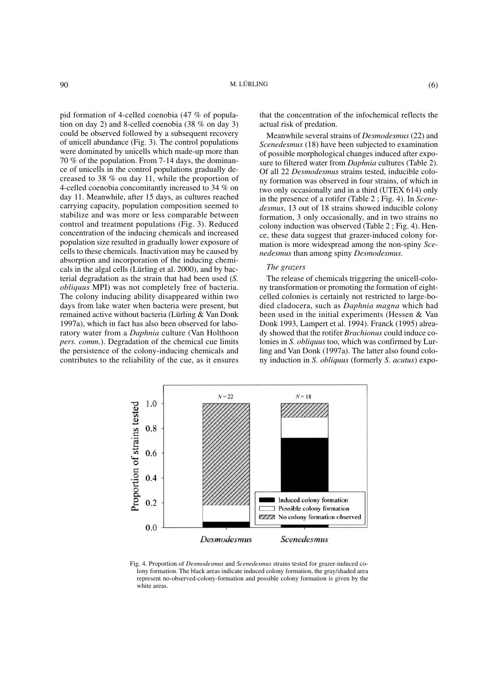pid formation of 4-celled coenobia (47 % of population on day 2) and 8-celled coenobia (38 % on day 3) could be observed followed by a subsequent recovery of unicell abundance (Fig. 3). The control populations were dominated by unicells which made-up more than 70 % of the population. From 7-14 days, the dominance of unicells in the control populations gradually decreased to 38 % on day 11, while the proportion of 4-celled coenobia concomitantly increased to 34 % on day 11. Meanwhile, after 15 days, as cultures reached carrying capacity, population composition seemed to stabilize and was more or less comparable between control and treatment populations (Fig. 3). Reduced concentration of the inducing chemicals and increased population size resulted in gradually lower exposure of cells to these chemicals. Inactivation may be caused by absorption and incorporation of the inducing chemicals in the algal cells (Lürling et al. 2000), and by bacterial degradation as the strain that had been used (*S. obliquus* MPI) was not completely free of bacteria. The colony inducing ability disappeared within two days from lake water when bacteria were present, but remained active without bacteria (Lürling & Van Donk 1997a), which in fact has also been observed for laboratory water from a *Daphnia* culture (Van Holthoon *pers. comm.*). Degradation of the chemical cue limits the persistence of the colony-inducing chemicals and contributes to the reliability of the cue, as it ensures that the concentration of the infochemical reflects the actual risk of predation.

Meanwhile several strains of *Desmodesmus* (22) and *Scenedesmus* (18) have been subjected to examination of possible morphological changes induced after exposure to filtered water from *Daphnia* cultures (Table 2). Of all 22 *Desmodesmus* strains tested, inducible colony formation was observed in four strains, of which in two only occasionally and in a third (UTEX 614) only in the presence of a rotifer (Table 2 ; Fig. 4). In *Scenedesmus*, 13 out of 18 strains showed inducible colony formation, 3 only occasionally, and in two strains no colony induction was observed (Table 2 ; Fig. 4). Hence, these data suggest that grazer-induced colony formation is more widespread among the non-spiny *Scenedesmus* than among spiny *Desmodesmus*.

## *The grazers*

The release of chemicals triggering the unicell-colony transformation or promoting the formation of eightcelled colonies is certainly not restricted to large-bodied cladocera, such as *Daphnia magna* which had been used in the initial experiments (Hessen & Van Donk 1993, Lampert et al. 1994). Franck (1995) already showed that the rotifer *Brachionus* could induce colonies in *S. obliquus* too, which was confirmed by Lurling and Van Donk (1997a). The latter also found colony induction in *S. obliquus* (formerly *S. acutus*) expo-



Fig. 4. Proportion of *Desmodesmus* and *Scenedesmus* strains tested for grazer-induced colony formation. The black areas indicate induced colony formation, the gray/shaded area represent no-observed-colony-formation and possible colony formation is given by the white areas.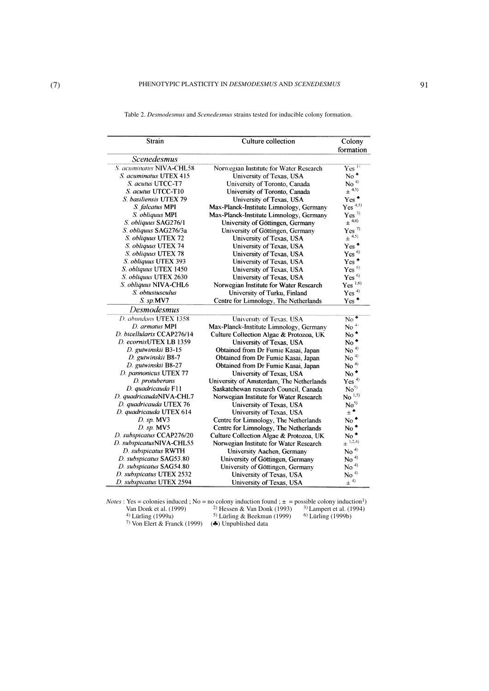| Strain                     | Culture collection                                                          | Colony<br>formation    |  |  |
|----------------------------|-----------------------------------------------------------------------------|------------------------|--|--|
| Scenedesmus                |                                                                             |                        |  |  |
| S. acuminatus NIVA-CHL58   | Norwegian Institute for Water Research                                      | $Yes-1$                |  |  |
| S. acuminatus UTEX 415     | University of Texas, USA                                                    | $No^*$                 |  |  |
| S. acutus UTCC-T7          | University of Toronto, Canada                                               | $\hbox{No}$ $^{\,4)}$  |  |  |
| S. acutus UTCC-T10         | University of Toronto, Canada                                               | $\pm$ $^{4,5)}$        |  |  |
| S. basiliensis UTEX 79     | University of Texas, USA                                                    | Yes $\triangleq$       |  |  |
| S. falcatus MPI            | Max-Planck-Institute Limnology, Germany                                     | $Yes^{4,5)}$           |  |  |
| S. obliquus MPI            | Max-Planck-Institute Limnology, Germany                                     | $\mathbf{Yes}$ $^{3)}$ |  |  |
| S. obliquus SAG276/1       | University of Göttingen, Germany                                            | $\pm$ $^{4,6)}$        |  |  |
| S. obliquus SAG276/3a      | University of Göttingen, Germany                                            | Yes $\eta$             |  |  |
| S. obliquus UTEX 72        | University of Texas, USA                                                    | $\pm$ <sup>4,5</sup> ) |  |  |
| S. obliquus UTEX 74        | University of Texas, USA                                                    | Yes <sup>*</sup>       |  |  |
| S. obliquus UTEX 78        | University of Texas, USA                                                    | Yes $6$                |  |  |
| S. obliquus UTEX 393       | University of Texas, USA                                                    | Yes <sup>*</sup>       |  |  |
| S. obliquus UTEX 1450      | University of Texas, USA                                                    | Yes $^{\rm 6)}$        |  |  |
| S. obliquus UTEX 2630      | University of Texas, USA                                                    | Yes $6$                |  |  |
| S. obliquus NIVA-CHL6      | Norwegian Institute for Water Research                                      | Yes <sup>1,6</sup>     |  |  |
| S. obtusiusculus           | University of Turku, Finland                                                | $\mathrm{Yes}$ $^{4)}$ |  |  |
| S. sp.MV7                  | Centre for Limnology, The Netherlands                                       | $Yes^*$                |  |  |
| Desmodesmus                |                                                                             |                        |  |  |
| D. abundans UTEX 1358      | University of Texas, USA                                                    | $\overline{No}$        |  |  |
| D. armatus MPI             | Max-Planck-Institute Limnology, Germany                                     | No <sup>4</sup>        |  |  |
| D. bicellularis CCAP276/14 | Culture Collection Algae & Protozoa, UK                                     | $No^*$                 |  |  |
| D. ecornisUTEX LB 1359     | University of Texas, USA                                                    | $No^*$                 |  |  |
| D. gutwinskii B3-15        | Obtained from Dr Fumie Kasai, Japan                                         | No <sup>4</sup>        |  |  |
| D. gutwinskii B8-7         | Obtained from Dr Fumie Kasai, Japan                                         | No <sup>4</sup>        |  |  |
| D. gutwinskii B8-27        | Obtained from Dr Fumie Kasai, Japan                                         | $\hbox{No}$ $^{\,4)}$  |  |  |
| D. pannonicus UTEX 77      | University of Texas, USA                                                    | $No^*$                 |  |  |
| D. protuberans             | University of Amsterdam, The Netherlands                                    | Yes <sup>4</sup>       |  |  |
| D. quadricauda F11         | Saskatchewan research Council, Canada                                       | No <sup>5</sup>        |  |  |
| D. quadricaudaNIVA-CHL7    | Norwegian Institute for Water Research                                      | No <sup>1,5</sup>      |  |  |
| D. quadricauda UTEX 76     | University of Texas, USA                                                    | No <sup>5</sup>        |  |  |
| D. quadricauda UTEX 614    | University of Texas, USA                                                    | $\pm$ $^\bullet$       |  |  |
| $D.$ sp. $MV3$             | Centre for Limnology, The Netherlands                                       | $No^*$                 |  |  |
| D. sp. MV5                 | Centre for Limnology, The Netherlands                                       | $No^*$                 |  |  |
| D. subspicatus CCAP276/20  | Culture Collection Algae & Protozoa, UK                                     | $No^*$                 |  |  |
| D. subspicatusNIVA-CHL55   | $\pm$ $^{1,2,4)}$<br>Norwegian Institute for Water Research                 |                        |  |  |
| D. subspicatus RWTH        | No $^{\rm 4)}$<br>University Aachen, Germany                                |                        |  |  |
| D. subspicatus SAG53.80    | University of Göttingen, Germany                                            | $\hbox{No}^{\,4)}$     |  |  |
| D. subspicatus SAG54.80    | $\mbox{No}$ $^{\mbox{\scriptsize 4)} }$<br>University of Göttingen, Germany |                        |  |  |
| D. subspicatus UTEX 2532   | $\mbox{No}$ $^{\mbox{4)}}$<br>University of Texas, USA                      |                        |  |  |
| D. subspicatus UTEX 2594   | $+^{4)}$<br>University of Texas. USA                                        |                        |  |  |

Table 2. *Desmodesmus* and *Scenedesmus* strains tested for inducible colony formation.

*Notes* : Yes = colonies induced ; No = no colony induction found ;  $\pm$  = possible colony induction<sup>1</sup>) Van Donk et al. (1999) <sup>2)</sup> Hessen & Van Donk (1993) <sup>3)</sup> Lampert et al. (1994) <sup>4)</sup> Lürling (1999a) <sup>5)</sup> Lürling & Beekman (1999) <sup>6)</sup> Lürling (1999b) 4) Lürling (1999a)<br>
<sup>4</sup>) Lürling (1999a)<br>
<sup>5</sup>) Lürling & Beekman<br>
<sup>7</sup>) Von Elert & Franck (1999) (→ Unpublished data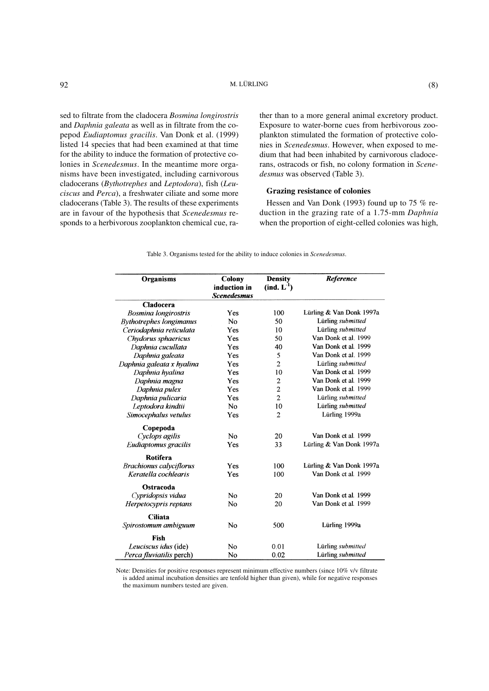sed to filtrate from the cladocera *Bosmina longirostris* and *Daphnia galeata* as well as in filtrate from the copepod *Eudiaptomus gracilis*. Van Donk et al. (1999) listed 14 species that had been examined at that time for the ability to induce the formation of protective colonies in *Scenedesmus*. In the meantime more organisms have been investigated, including carnivorous cladocerans (*Bythotrephes* and *Leptodora*), fish (*Leuciscus* and *Perca*), a freshwater ciliate and some more cladocerans (Table 3). The results of these experiments are in favour of the hypothesis that *Scenedesmus* responds to a herbivorous zooplankton chemical cue, ra-

ther than to a more general animal excretory product. Exposure to water-borne cues from herbivorous zooplankton stimulated the formation of protective colonies in *Scenedesmus*. However, when exposed to medium that had been inhabited by carnivorous cladocerans, ostracods or fish, no colony formation in *Scenedesmus* was observed (Table 3).

## **Grazing resistance of colonies**

Hessen and Van Donk (1993) found up to 75 % reduction in the grazing rate of a 1.75-mm *Daphnia* when the proportion of eight-celled colonies was high,

| <b>Organisms</b>               | Colony<br>induction in<br><b>Scenedesmus</b> | <b>Density</b><br>$(\text{ind. } L^{-1})$ | Reference                |  |  |
|--------------------------------|----------------------------------------------|-------------------------------------------|--------------------------|--|--|
| Cladocera                      |                                              |                                           |                          |  |  |
| Bosmina longirostris           | Yes                                          | 100                                       | Lürling & Van Donk 1997a |  |  |
| <b>Bythotrephes longimamis</b> | No                                           | 50                                        | Lürling submitted        |  |  |
| Ceriodaphnia reticulata        | Yes                                          | 10                                        | Lürling submitted        |  |  |
| Chydorus sphaericus            | Yes                                          | 50                                        | Van Donk et al. 1999     |  |  |
| Daphnia cucullata              | Yes                                          | 40                                        | Van Donk et al. 1999     |  |  |
| Daphnia galeata                | Yes                                          | 5                                         | Van Donk et al. 1999     |  |  |
| Daphnia galeata x hyalina      | Yes                                          | $\overline{2}$                            | Lürling submitted        |  |  |
| Daphnia hyalina                | Yes                                          | 10                                        | Van Donk et al. 1999     |  |  |
| Daphnia magna                  | Yes                                          | $\overline{c}$                            | Van Donk et al. 1999     |  |  |
| Daphnia pulex                  | Yes                                          | $\overline{c}$                            | Van Donk et al. 1999     |  |  |
| Daphnia pulicaria              | Yes                                          | $\overline{2}$                            | Lürling submitted        |  |  |
| Leptodora kindtii              | N <sub>0</sub>                               | 10                                        | Lürling submitted        |  |  |
| Simocephalus vetulus           | Yes                                          | 2                                         | Lürling 1999a            |  |  |
| Copepoda                       |                                              |                                           |                          |  |  |
| Cyclops agilis                 | No                                           | 20                                        | Van Donk et al. 1999     |  |  |
| Eudiaptomus gracilis           | Yes                                          | 33                                        | Lürling & Van Donk 1997a |  |  |
| Rotifera                       |                                              |                                           |                          |  |  |
| <b>Brachionus calyciflorus</b> | Yes                                          | 100                                       | Lürling & Van Donk 1997a |  |  |
| Keratella cochlearis           | Yes                                          | 100                                       | Van Donk et al. 1999     |  |  |
| Ostracoda                      |                                              |                                           |                          |  |  |
| Cypridopsis vidua              | No                                           | 20                                        | Van Donk et al. 1999     |  |  |
| Herpetocypris reptans          | No                                           | 20                                        | Van Donk et al. 1999     |  |  |
| <b>Ciliata</b>                 |                                              |                                           |                          |  |  |
| Spirostomum ambiguum           | No                                           | 500                                       | Lürling 1999a            |  |  |
| <b>Fish</b>                    |                                              |                                           |                          |  |  |
| Leuciscus idus (ide)           | No                                           | 0.01                                      | Lürling submitted        |  |  |
| Perca fluviatilis perch)       | No                                           | 0.02                                      | Lürling submitted        |  |  |

Table 3. Organisms tested for the ability to induce colonies in *Scenedesmus*.

Note: Densities for positive responses represent minimum effective numbers (since 10% v/v filtrate is added animal incubation densities are tenfold higher than given), while for negative responses the maximum numbers tested are given.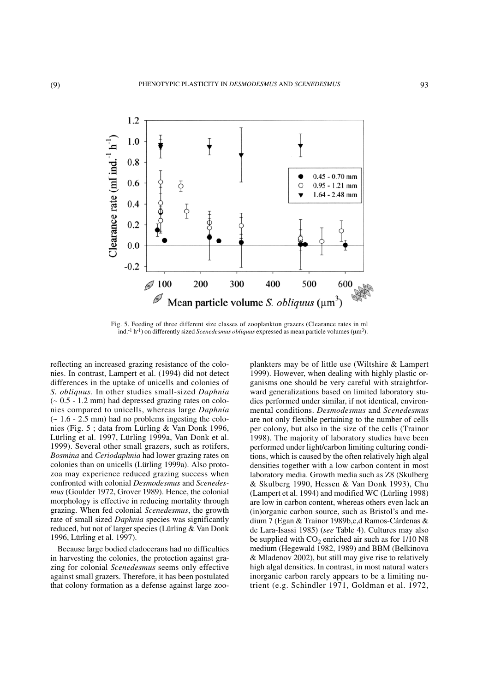

Fig. 5. Feeding of three different size classes of zooplankton grazers (Clearance rates in ml ind.<sup>-1</sup> h<sup>-1</sup>) on differently sized *Scenedesmus obliquus* expressed as mean particle volumes ( $\mu$ m<sup>3</sup>).

reflecting an increased grazing resistance of the colonies. In contrast, Lampert et al. (1994) did not detect differences in the uptake of unicells and colonies of *S. obliquus*. In other studies small-sized *Daphnia*  $(-0.5 - 1.2 \text{ mm})$  had depressed grazing rates on colonies compared to unicells, whereas large *Daphnia*  $\sim$  1.6 - 2.5 mm) had no problems ingesting the colonies (Fig. 5 ; data from Lürling & Van Donk 1996, Lürling et al. 1997, Lürling 1999a, Van Donk et al. 1999). Several other small grazers, such as rotifers, *Bosmina* and *Ceriodaphnia* had lower grazing rates on colonies than on unicells (Lürling 1999a). Also protozoa may experience reduced grazing success when confronted with colonial *Desmodesmus* and *Scenedesmus* (Goulder 1972, Grover 1989). Hence, the colonial morphology is effective in reducing mortality through grazing. When fed colonial *Scenedesmus*, the growth rate of small sized *Daphnia* species was significantly reduced, but not of larger species (Lürling & Van Donk 1996, Lürling et al. 1997).

Because large bodied cladocerans had no difficulties in harvesting the colonies, the protection against grazing for colonial *Scenedesmus* seems only effective against small grazers. Therefore, it has been postulated that colony formation as a defense against large zooplankters may be of little use (Wiltshire & Lampert 1999). However, when dealing with highly plastic organisms one should be very careful with straightforward generalizations based on limited laboratory studies performed under similar, if not identical, environmental conditions. *Desmodesmus* and *Scenedesmus* are not only flexible pertaining to the number of cells per colony, but also in the size of the cells (Trainor 1998). The majority of laboratory studies have been performed under light/carbon limiting culturing conditions, which is caused by the often relatively high algal densities together with a low carbon content in most laboratory media. Growth media such as Z8 (Skulberg & Skulberg 1990, Hessen & Van Donk 1993), Chu (Lampert et al. 1994) and modified WC (Lürling 1998) are low in carbon content, whereas others even lack an (in)organic carbon source, such as Bristol's and medium 7 (Egan & Trainor 1989b,c,d Ramos-Cárdenas & de Lara-Isassi 1985) (*see* Table 4). Cultures may also be supplied with  $CO<sub>2</sub>$  enriched air such as for 1/10 N8 medium (Hegewald 1982, 1989) and BBM (Belkinova & Mladenov 2002), but still may give rise to relatively high algal densities. In contrast, in most natural waters inorganic carbon rarely appears to be a limiting nutrient (e.g. Schindler 1971, Goldman et al. 1972,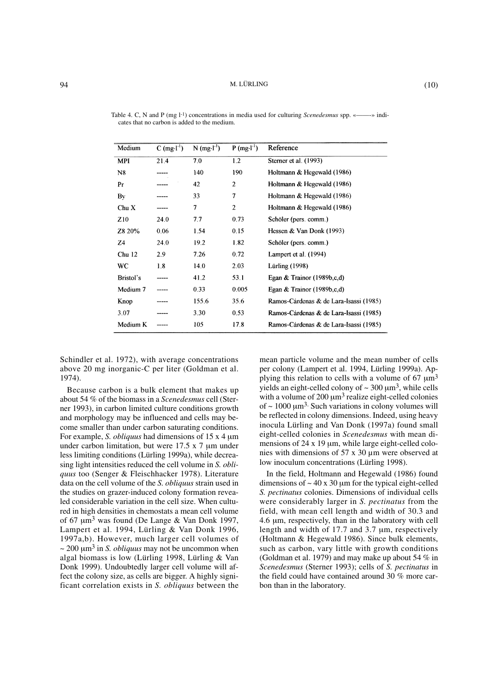### 94 M. LURLING  $(10)$

| Medium          | $C$ (mg·l <sup>-1</sup> ) | $N$ (mg·l <sup>-1</sup> ) | $P (mg-l^{-1})$ | Reference                              |  |
|-----------------|---------------------------|---------------------------|-----------------|----------------------------------------|--|
| <b>MPI</b>      | 21.4                      | 7.0                       | 1.2             | Sterner et al. (1993)                  |  |
| N8              |                           | 140                       | 190             | Holtmann & Hegewald (1986)             |  |
| Pr              |                           | 42                        | 2               | Holtmann & Hegewald (1986)             |  |
| By              |                           | 33                        | 7               | Holtmann & Hegewald (1986)             |  |
| Chu X           |                           | 7                         | $\mathbf{2}$    | Holtmann & Hegewald (1986)             |  |
| Z <sub>10</sub> | 24.0                      | 7.7                       | 0.73            | Schöler (pers. comm.)                  |  |
| Z8 20%          | 0.06                      | 1.54                      | 0.15            | Hessen & Van Donk $(1993)$             |  |
| Z4              | 24.0                      | 19.2                      | 1.82            | Schöler (pers. comm.)                  |  |
| $Chu$ 12        | 2.9                       | 7.26                      | 0.72            | Lampert et al. (1994)                  |  |
| <b>WC</b>       | 1.8                       | 14.0                      | 2.03            | <b>Lürling</b> (1998)                  |  |
| Bristol's       |                           | 41.2                      | 53.1            | Egan & Trainor $(1989b, c, d)$         |  |
| Medium 7        |                           | 0.33                      | 0.005           | Egan & Trainor $(1989b,c,d)$           |  |
| Knop            |                           | 155.6                     | 35.6            | Ramos-Cárdenas & de Lara-Isassi (1985) |  |
| 3.07            |                           | 3.30                      | 0.53            | Ramos-Cárdenas & de Lara-Isassi (1985) |  |
| Medium K        |                           | 105                       | 17.8            | Ramos-Cárdenas & de Lara-Isassi (1985) |  |

Table 4. C, N and P (mg l<sup>-1</sup>) concentrations in media used for culturing *Scenedesmus* spp. «———-» indicates that no carbon is added to the medium.

Schindler et al. 1972), with average concentrations above 20 mg inorganic-C per liter (Goldman et al. 1974).

Because carbon is a bulk element that makes up about 54 % of the biomass in a *Scenedesmus* cell (Sterner 1993), in carbon limited culture conditions growth and morphology may be influenced and cells may become smaller than under carbon saturating conditions. For example, *S. obliquus* had dimensions of 15 x 4  $\mu$ m under carbon limitation, but were  $17.5 \times 7$  µm under less limiting conditions (Lürling 1999a), while decreasing light intensities reduced the cell volume in *S. obliquus* too (Senger & Fleischhacker 1978). Literature data on the cell volume of the *S. obliquus* strain used in the studies on grazer-induced colony formation revealed considerable variation in the cell size. When cultured in high densities in chemostats a mean cell volume of 67 µm<sup>3</sup> was found (De Lange & Van Donk 1997, Lampert et al. 1994, Lürling & Van Donk 1996, 1997a,b). However, much larger cell volumes of  $\sim$  200  $\mu$ m<sup>3</sup> in *S. obliquus* may not be uncommon when algal biomass is low (Lürling 1998, Lürling & Van Donk 1999). Undoubtedly larger cell volume will affect the colony size, as cells are bigger. A highly significant correlation exists in *S. obliquus* between the mean particle volume and the mean number of cells per colony (Lampert et al. 1994, Lürling 1999a). Applying this relation to cells with a volume of  $67 \mu m^3$ yields an eight-celled colony of  $\sim$  300  $\mu$ m<sup>3</sup>, while cells with a volume of  $200 \mu m^3$  realize eight-celled colonies of  $\sim$  1000  $\mu$ m<sup>3.</sup> Such variations in colony volumes will be reflected in colony dimensions. Indeed, using heavy inocula Lürling and Van Donk (1997a) found small eight-celled colonies in *Scenedesmus* with mean dimensions of  $24 \times 19 \mu m$ , while large eight-celled colonies with dimensions of 57 x 30 µm were observed at low inoculum concentrations (Lürling 1998).

In the field, Holtmann and Hegewald (1986) found dimensions of  $\sim$  40 x 30  $\mu$ m for the typical eight-celled *S. pectinatus* colonies. Dimensions of individual cells were considerably larger in *S. pectinatus* from the field, with mean cell length and width of 30.3 and 4.6 µm, respectively, than in the laboratory with cell length and width of 17.7 and 3.7  $\mu$ m, respectively (Holtmann & Hegewald 1986). Since bulk elements, such as carbon, vary little with growth conditions (Goldman et al. 1979) and may make up about 54 % in *Scenedesmus* (Sterner 1993); cells of *S. pectinatus* in the field could have contained around 30 % more carbon than in the laboratory.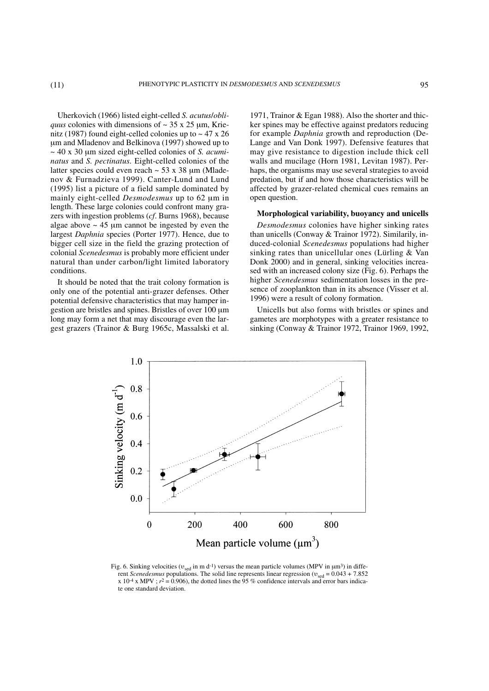Uherkovich (1966) listed eight-celled *S. acutus*/*obliquus* colonies with dimensions of  $\sim$  35 x 25 µm, Krienitz (1987) found eight-celled colonies up to  $\sim$  47 x 26 µm and Mladenov and Belkinova (1997) showed up to ~ 40 x 30 µm sized eight-celled colonies of *S. acuminatus* and *S. pectinatus.* Eight-celled colonies of the latter species could even reach  $\sim$  53 x 38 µm (Mladenov & Furnadzieva 1999). Canter-Lund and Lund (1995) list a picture of a field sample dominated by mainly eight-celled *Desmodesmus* up to 62 µm in length. These large colonies could confront many grazers with ingestion problems (*cf*. Burns 1968), because algae above  $\sim$  45 µm cannot be ingested by even the largest *Daphnia* species (Porter 1977). Hence, due to bigger cell size in the field the grazing protection of colonial *Scenedesmus* is probably more efficient under natural than under carbon/light limited laboratory conditions.

It should be noted that the trait colony formation is only one of the potential anti-grazer defenses. Other potential defensive characteristics that may hamper ingestion are bristles and spines. Bristles of over 100 µm long may form a net that may discourage even the largest grazers (Trainor & Burg 1965c, Massalski et al. 1971, Trainor & Egan 1988). Also the shorter and thicker spines may be effective against predators reducing for example *Daphnia* growth and reproduction (De-Lange and Van Donk 1997). Defensive features that may give resistance to digestion include thick cell walls and mucilage (Horn 1981, Levitan 1987). Perhaps, the organisms may use several strategies to avoid predation, but if and how those characteristics will be affected by grazer-related chemical cues remains an open question.

#### **Morphological variability, buoyancy and unicells**

*Desmodesmus* colonies have higher sinking rates than unicells (Conway & Trainor 1972). Similarily, induced-colonial *Scenedesmus* populations had higher sinking rates than unicellular ones (Lürling & Van Donk 2000) and in general, sinking velocities increased with an increased colony size (Fig. 6). Perhaps the higher *Scenedesmus* sedimentation losses in the presence of zooplankton than in its absence (Visser et al. 1996) were a result of colony formation.

Unicells but also forms with bristles or spines and gametes are morphotypes with a greater resistance to sinking (Conway & Trainor 1972, Trainor 1969, 1992,



Fig. 6. Sinking velocities ( $v_{sed}$  in m d<sup>-1</sup>) versus the mean particle volumes (MPV in  $\mu$ m<sup>3</sup>) in different *Scenedesmus* populations. The solid line represents linear regression ( $v_{\text{sed}} = 0.043 + 7.852$ ) x 10<sup>-4</sup> x MPV ;  $r^2 = 0.906$ ), the dotted lines the 95 % confidence intervals and error bars indicate one standard deviation.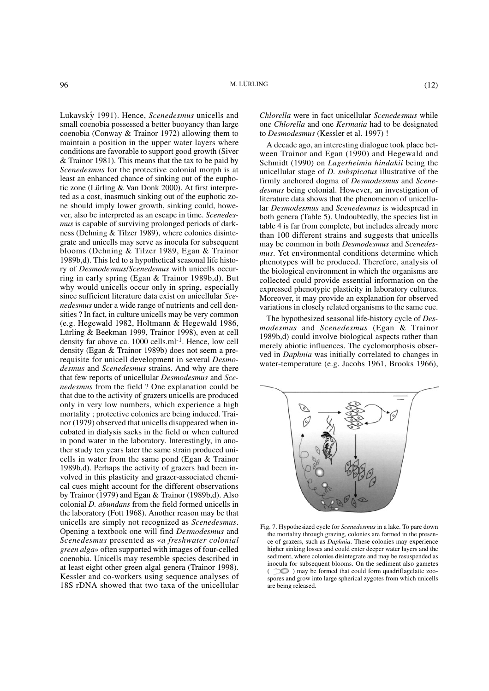Lukavsk´ y 1991). Hence, *Scenedesmus* unicells and small coenobia possessed a better buoyancy than large coenobia (Conway & Trainor 1972) allowing them to maintain a position in the upper water layers where conditions are favorable to support good growth (Siver & Trainor 1981). This means that the tax to be paid by *Scenedesmus* for the protective colonial morph is at least an enhanced chance of sinking out of the euphotic zone (Lürling & Van Donk 2000). At first interpreted as a cost, inasmuch sinking out of the euphotic zone should imply lower growth, sinking could, however, also be interpreted as an escape in time. *Scenedesmus* is capable of surviving prolonged periods of darkness (Dehning & Tilzer 1989), where colonies disinte-

grate and unicells may serve as inocula for subsequent blooms (Dehning & Tilzer 1989, Egan & Trainor 1989b,d). This led to a hypothetical seasonal life history of *Desmodesmus*/*Scenedemus* with unicells occurring in early spring (Egan & Trainor 1989b,d). But why would unicells occur only in spring, especially since sufficient literature data exist on unicellular *Scenedesmus* under a wide range of nutrients and cell densities ? In fact, in culture unicells may be very common (e.g. Hegewald 1982, Holtmann & Hegewald 1986, Lürling & Beekman 1999, Trainor 1998), even at cell density far above ca. 1000 cells.ml-1. Hence, low cell density (Egan & Trainor 1989b) does not seem a prerequisite for unicell development in several *Desmodesmus* and *Scenedesmus* strains. And why are there that few reports of unicellular *Desmodesmus* and *Scenedesmus* from the field ? One explanation could be that due to the activity of grazers unicells are produced only in very low numbers, which experience a high mortality ; protective colonies are being induced. Trainor (1979) observed that unicells disappeared when incubated in dialysis sacks in the field or when cultured in pond water in the laboratory. Interestingly, in another study ten years later the same strain produced unicells in water from the same pond (Egan & Trainor 1989b,d). Perhaps the activity of grazers had been involved in this plasticity and grazer-associated chemical cues might account for the different observations by Trainor (1979) and Egan & Trainor (1989b,d). Also colonial *D. abundans* from the field formed unicells in the laboratory (Fott 1968). Another reason may be that unicells are simply not recognized as *Scenedesmus*. Opening a textbook one will find *Desmodesmus* and *Scenedesmus* presented as «*a freshwater colonial green alga*» often supported with images of four-celled coenobia. Unicells may resemble species described in at least eight other green algal genera (Trainor 1998). Kessler and co-workers using sequence analyses of 18S rDNA showed that two taxa of the unicellular *Chlorella* were in fact unicellular *Scenedesmus* while one *Chlorella* and one *Kermatia* had to be designated to *Desmodesmus* (Kessler et al. 1997) !

A decade ago, an interesting dialogue took place between Trainor and Egan (1990) and Hegewald and Schmidt (1990) on *Lagerheimia hindakii* being the unicellular stage of *D. subspicatus* illustrative of the firmly anchored dogma of *Desmodesmus* and *Scenedesmus* being colonial. However, an investigation of literature data shows that the phenomenon of unicellular *Desmodesmus* and *Scenedesmus* is widespread in both genera (Table 5). Undoubtedly, the species list in table 4 is far from complete, but includes already more than 100 different strains and suggests that unicells may be common in both *Desmodesmus* and *Scenedesmus*. Yet environmental conditions determine which phenotypes will be produced. Therefore, analysis of the biological environment in which the organisms are collected could provide essential information on the expressed phenotypic plasticity in laboratory cultures. Moreover, it may provide an explanation for observed variations in closely related organisms to the same cue.

The hypothesized seasonal life-history cycle of *Desmodesmus* and *Scenedesmus* (Egan & Trainor 1989b,d) could involve biological aspects rather than merely abiotic influences. The cyclomorphosis observed in *Daphnia* was initially correlated to changes in water-temperature (e.g. Jacobs 1961, Brooks 1966),



Fig. 7. Hypothesized cycle for *Scenedesmus* in a lake. To pare down the mortality through grazing, colonies are formed in the presence of grazers, such as *Daphnia*. These colonies may experience higher sinking losses and could enter deeper water layers and the sediment, where colonies disintegrate and may be resuspended as inocula for subsequent blooms. On the sediment also gametes  $($   $\infty$   $)$  may be formed that could form quadriflagelatte zoospores and grow into large spherical zygotes from which unicells are being released.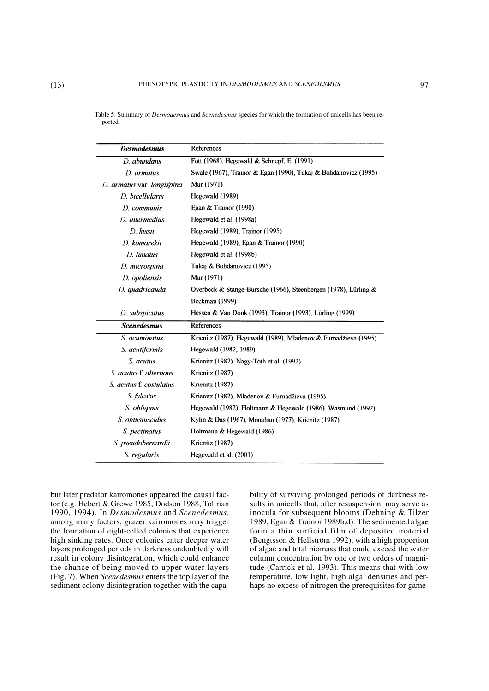| Table 5. Summary of <i>Desmodesmus</i> and <i>Scenedesmus</i> species for which the formation of unicells has been re- |  |  |  |
|------------------------------------------------------------------------------------------------------------------------|--|--|--|
| ported.                                                                                                                |  |  |  |

| <b>Desmodesmus</b>         | References                                                      |  |  |
|----------------------------|-----------------------------------------------------------------|--|--|
| D. abundans                | Fott (1968), Hegewald & Schnepf, E. (1991)                      |  |  |
| $D.$ armatus               | Swale (1967), Trainor & Egan (1990), Tukaj & Bohdanovicz (1995) |  |  |
| D. armatus var. longispina | Mur (1971)                                                      |  |  |
| D. bicellularis            | Hegewald (1989)                                                 |  |  |
| D. communis                | Egan & Trainor (1990)                                           |  |  |
| D. intermedius             | Hegewald et al. (1998a)                                         |  |  |
| D. kissii                  | Hegewald (1989), Trainor (1995)                                 |  |  |
| D. komarekii               | Hegewald (1989), Egan & Trainor (1990)                          |  |  |
| D. lunatus                 | Hegewald et al. (1998b)                                         |  |  |
| D. microspina              | Tukaj & Bohdanovicz (1995)                                      |  |  |
| D. opoliensis              | Mur (1971)                                                      |  |  |
| D. quadricauda             | Overbeck & Stange-Bursche (1966), Steenbergen (1978), Lürling & |  |  |
|                            | Beekman (1999)                                                  |  |  |
| D. subspicatus             | Hessen & Van Donk (1993), Trainor (1993), Lürling (1999)        |  |  |
| <b>Scenedesmus</b>         | References                                                      |  |  |
| S. acuminatus              | Krienitz (1987), Hegewald (1989), Mladenov & Furnadžieva (1995) |  |  |
| S. acutiformis             | Hegewald (1982, 1989)                                           |  |  |
| S. acutus                  | Krienitz (1987), Nagy-Tóth et al. (1992)                        |  |  |
| S. acutus f. alternans     | Krienitz (1987)                                                 |  |  |
| S. acutus f. costulatus    | Krienitz (1987)                                                 |  |  |
| S. falcatus                | Krienitz (1987), Mladenov & Furnadžieva (1995)                  |  |  |
| S. obliquus                | Hegewald (1982), Holtmann & Hegewald (1986), Wasmund (1992)     |  |  |
| S. obtusiusculus           | Kylin & Das (1967), Monahan (1977), Krienitz (1987)             |  |  |
| S. pectinatus              | Holtmann & Hegewald (1986)                                      |  |  |
| S. pseudobernardii         | Krienitz (1987)                                                 |  |  |
| S. regularis               | Hegewald et al. (2001)                                          |  |  |

but later predator kairomones appeared the causal factor (e.g. Hebert & Grewe 1985, Dodson 1988, Tollrian 1990, 1994). In *Desmodesmus* and *Scenedesmus*, among many factors, grazer kairomones may trigger the formation of eight-celled colonies that experience high sinking rates. Once colonies enter deeper water layers prolonged periods in darkness undoubtedly will result in colony disintegration, which could enhance the chance of being moved to upper water layers (Fig. 7). When *Scenedesmus* enters the top layer of the sediment colony disintegration together with the capability of surviving prolonged periods of darkness results in unicells that, after resuspension, may serve as inocula for subsequent blooms (Dehning & Tilzer 1989, Egan & Trainor 1989b,d). The sedimented algae form a thin surficial film of deposited material (Bengtsson & Hellström 1992), with a high proportion of algae and total biomass that could exceed the water column concentration by one or two orders of magnitude (Carrick et al. 1993). This means that with low temperature, low light, high algal densities and perhaps no excess of nitrogen the prerequisites for game-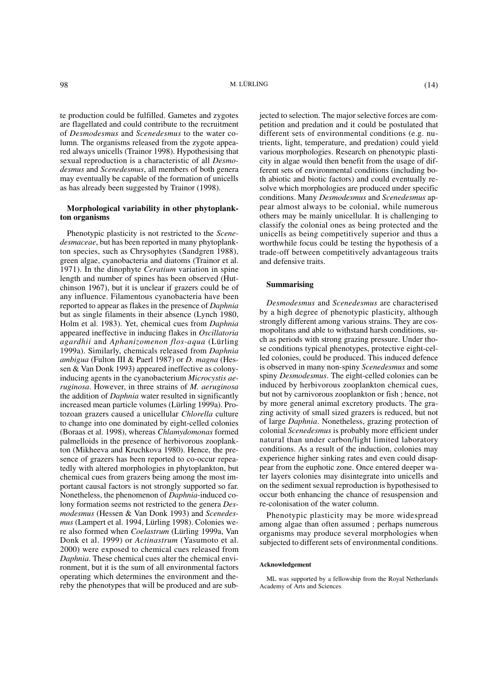te production could be fulfilled. Gametes and zygotes are flagellated and could contribute to the recruitment of *Desmodesmus* and *Scenedesmus* to the water column. The organisms released from the zygote appeared always unicells (Trainor 1998). Hypothesising that sexual reproduction is a characteristic of all *Desmodesmus* and *Scenedesmus*, all members of both genera may eventually be capable of the formation of unicells as has already been suggested by Trainor (1998).

## **Morphological variability in other phytoplankton organisms**

Phenotypic plasticity is not restricted to the *Scenedesmaceae*, but has been reported in many phytoplankton species, such as Chrysophytes (Sandgren 1988), green algae, cyanobacteria and diatoms (Trainor et al. 1971). In the dinophyte *Ceratium* variation in spine length and number of spines has been observed (Hutchinson 1967), but it is unclear if grazers could be of any influence. Filamentous cyanobacteria have been reported to appear as flakes in the presence of *Daphnia* but as single filaments in their absence (Lynch 1980, Holm et al. 1983). Yet, chemical cues from *Daphnia* appeared ineffective in inducing flakes in *Oscillatoria agardhii* and *Aphanizomenon flos-aqua* (Lürling 1999a). Similarly, chemicals released from *Daphnia ambigua* (Fulton III & Paerl 1987) or *D. magna* (Hessen & Van Donk 1993) appeared ineffective as colonyinducing agents in the cyanobacterium *Microcystis aeruginosa*. However, in three strains of *M. aeruginosa* the addition of *Daphnia* water resulted in significantly increased mean particle volumes (Lürling 1999a). Protozoan grazers caused a unicellular *Chlorella* culture to change into one dominated by eight-celled colonies (Boraas et al. 1998), whereas *Chlamydomonas* formed palmelloids in the presence of herbivorous zooplankton (Mikheeva and Kruchkova 1980). Hence, the presence of grazers has been reported to co-occur repeatedly with altered morphologies in phytoplankton, but chemical cues from grazers being among the most important causal factors is not strongly supported so far. Nonetheless, the phenomenon of *Daphnia*-induced colony formation seems not restricted to the genera *Desmodesmus* (Hessen & Van Donk 1993) and *Scenedesmus* (Lampert et al. 1994, Lürling 1998). Colonies were also formed when *Coelastrum* (Lürling 1999a, Van Donk et al. 1999) or *Actinastrum* (Yasumoto et al. 2000) were exposed to chemical cues released from *Daphnia*. These chemical cues alter the chemical environment, but it is the sum of all environmental factors operating which determines the environment and thereby the phenotypes that will be produced and are subjected to selection. The major selective forces are competition and predation and it could be postulated that different sets of environmental conditions (e.g. nutrients, light, temperature, and predation) could yield various morphologies. Research on phenotypic plasticity in algae would then benefit from the usage of different sets of environmental conditions (including both abiotic and biotic factors) and could eventually resolve which morphologies are produced under specific conditions. Many *Desmodesmus* and *Scenedesmus* appear almost always to be colonial, while numerous others may be mainly unicellular. It is challenging to classify the colonial ones as being protected and the unicells as being competitively superior and thus a worthwhile focus could be testing the hypothesis of a trade-off between competitively advantageous traits and defensive traits.

#### **Summarising**

*Desmodesmus* and *Scenedesmus* are characterised by a high degree of phenotypic plasticity, although strongly different among various strains. They are cosmopolitans and able to withstand harsh conditions, such as periods with strong grazing pressure. Under those conditions typical phenotypes, protective eight-celled colonies, could be produced. This induced defence is observed in many non-spiny *Scenedesmus* and some spiny *Desmodesmus*. The eight-celled colonies can be induced by herbivorous zooplankton chemical cues, but not by carnivorous zooplankton or fish ; hence, not by more general animal excretory products. The grazing activity of small sized grazers is reduced, but not of large *Daphnia*. Nonetheless, grazing protection of colonial *Scenedesmus* is probably more efficient under natural than under carbon/light limited laboratory conditions. As a result of the induction, colonies may experience higher sinking rates and even could disappear from the euphotic zone. Once entered deeper water layers colonies may disintegrate into unicells and on the sediment sexual reproduction is hypothesised to occur both enhancing the chance of resuspension and re-colonisation of the water column.

Phenotypic plasticity may be more widespread among algae than often assumed ; perhaps numerous organisms may produce several morphologies when subjected to different sets of environmental conditions.

#### **Acknowledgement**

ML was supported by a fellowship from the Royal Netherlands Academy of Arts and Sciences.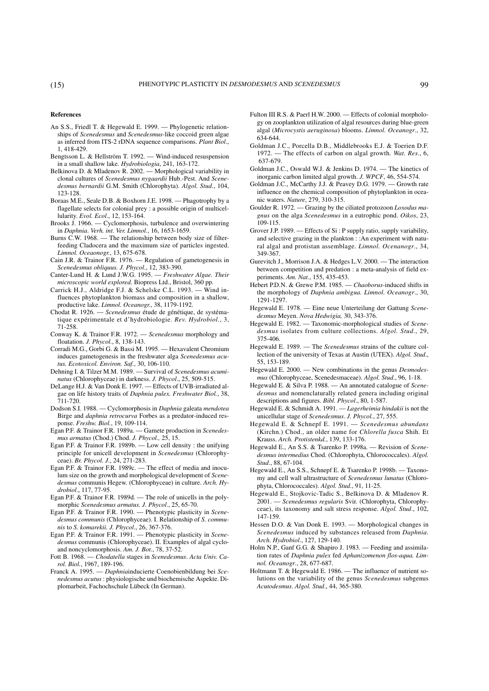#### **References**

- An S.S., Friedl T. & Hegewald E. 1999. Phylogenetic relationships of *Scenedesmus* and *Scenedesmus*-like coccoid green algae as inferred from ITS-2 rDNA sequence comparisons. *Plant Biol*., 1, 418-429.
- Bengtsson L. & Hellström T. 1992. Wind-induced resuspension in a small shallow lake. *Hydrobiologia*, 241, 163-172.
- Belkinova D. & Mladenov R. 2002. Morphological variability in clonal cultures of *Scenedesmus nygaardii* Hub.-Pest. And *Scenedesmus bernardii* G.M. Smith (Chlorophyta). *Algol. Stud*., 104, 123-128.
- Boraas M.E., Seale D.B. & Boxhorn J.E. 1998. Phagotrophy by a flagellate selects for colonial prey : a possible origin of multicellularity. *Evol. Ecol*., 12, 153-164.
- Brooks J. 1966. Cyclomorphosis, turbulence and overwintering in *Daphnia*. *Verh. int. Ver. Limnol.*, 16, 1653-1659.
- Burns C.W. 1968. The relationship between body size of filterfeeding Cladocera and the maximum size of particles ingested. *Limnol. Oceaonogr.*, 13, 675-678.
- Cain J.R. & Trainor F.R. 1976. Regulation of gametogenesis in *Scenedesmus obliquus. J. Phycol*., 12, 383-390.
- Canter-Lund H. & Lund J.W.G. 1995. *Freshwater Algae. Their microscopic world explored.* Biopress Ltd., Bristol, 360 pp.
- Carrick H.J., Aldridge F.J. & Schelske C.L. 1993. Wind influences phytoplankton biomass and composition in a shallow, productive lake. *Limnol. Oceanogr.*, 38, 1179-1192.
- Chodat R. 1926. *Scenedesmus* étude de génétique, de systématique expérimentale et d'hydrobiologie. *Rev. Hydrobiol.*, 3, 71-258.
- Conway K. & Trainor F.R. 1972. *Scenedesmus* morphology and floatation. *J. Phycol.*, 8, 138-143.
- Corradi M.G., Gorbi G. & Bassi M. 1995. Hexavalent Chromium induces gametogenesis in the freshwater alga *Scenedesmus acutus. Ecotoxicol. Environ. Saf.*, 30, 106-110.
- Dehning I. & Tilzer M.M. 1989. Survival of *Scenedesmus acuminatus* (Chlorophyceae) in darkness. *J. Phycol*., 25, 509-515.
- DeLange H.J. & Van Donk E. 1997. Effects of UVB-irradiated algae on life history traits of *Daphnia pulex. Freshwater Biol.*, 38, 711-720.
- Dodson S.I. 1988. Cyclomorphosis in *Daphnia* galeata *mendotea* Birge and *daphnia retrocurva* Forbes as a predator-induced response. *Freshw. Biol.*, 19, 109-114.
- Egan P.F. & Trainor F.R. 1989a. Gamete production in *Scenedesmus armatus* (Chod.) Chod. *J. Phycol.,* 25, 15.
- Egan P.F. & Trainor F.R. 1989b. Low cell density : the unifying principle for unicell development in *Scenedesmus* (Chlorophyceae). *Br. Phycol. J*., 24, 271-283.
- Egan P.F. & Trainor F.R. 1989c. The effect of media and inoculum size on the growth and morphological development of *Scenedesmus* communis Hegew. (Chlorophyceae) in culture. *Arch. Hydrobiol*., 117, 77-95.
- Egan P.F. & Trainor F.R. 1989d. The role of unicells in the polymorphic *Scenedesmus armatus. J. Phycol*., 25, 65-70.
- Egan P.F. & Trainor F.R. 1990. Phenotypic plasticity in *Scenedesmus communis* (Chlorophyceae). I. Relationship of *S. communis* to *S. komarekii. J. Phycol*., 26, 367-376.
- Egan P.F. & Trainor F.R. 1991. Phenotypic plasticity in *Scenedesmus* communis (Chlorophyceae). II. Examples of algal cycloand noncyclomorphosis. *Am. J. Bot.*, 78, 37-52.
- Fott B. 1968. *Chodatella* stages in *Scenedesmus*. *Acta Univ. Carol. Biol.*, 1967, 189-196.
- Franck A. 1995. *Daphnia*inducierte Coenobienbildung bei *Scenedesmus acutus* : physiologische und biochemische Aspekte. Diplomarbeit, Fachochschule Lübeck (In German).
- Fulton III R.S. & Paerl H.W. 2000. Effects of colonial morphology on zooplankton utilization of algal resources during blue-green algal (*Microcystis aeruginosa*) blooms. *Limnol. Oceanogr*., 32, 634-644.
- Goldman J.C., Porcella D.B., Middlebrooks E.J. & Toerien D.F. 1972. — The effects of carbon on algal growth. *Wat. Res*., 6, 637-679.
- Goldman J.C., Oswald W.J. & Jenkins D. 1974. The kinetics of inorganic carbon limited algal growth. *J. WPCF*, 46, 554-574.
- Goldman J.C., McCarthy J.J. & Peavey D.G. 1979. Growth rate influence on the chemical composition of phytoplankton in oceanic waters. *Nature*, 279, 310-315.
- Goulder R. 1972. Grazing by the ciliated protozoon *Loxodus magnus* on the alga *Scenedesmus* in a eutrophic pond. *Oikos*, 23, 109-115.
- Grover J.P. 1989. Effects of Si : P supply ratio, supply variability, and selective grazing in the plankton : :An experiment with natural algal and protistan assemblage. *Limnol. Ocenanogr*., 34, 349-367.
- Gurevitch J., Morrison J.A. & Hedges L.V. 2000. The interaction between competition and predation : a meta-analysis of field experiments. *Am. Nat.*, 155, 435-453.
- Hebert P.D.N. & Grewe P.M. 1985. *Chaoborus*-induced shifts in the morphology of *Daphnia ambigua. Limnol. Oceanogr*., 30, 1291-1297.
- Hegewald E. 1978. Eine neue Unterteilung der Gattung *Scenedesmus* Meyen. *Nova Hedwigia,* 30, 343-376.
- Hegewald E. 1982. Taxonomic-morphological studies of *Scenedesmus* isolates from culture collections. *Algol. Stud*., 29, 375-406.
- Hegewald E. 1989. The *Scenedesmus* strains of the culture collection of the university of Texas at Austin (UTEX). *Algol. Stud*., 55, 153-189.
- Hegewald E. 2000. New combinations in the genus *Desmodesmus* (Chlorophyceae, Scenedesmaceae). *Algol. Stud*., 96, 1-18.
- Hegewald E. & Silva P. 1988. An annotated catalogue of *Scenedesmus* and nomenclaturally related genera including original descriptions and figures. *Bibl. Phycol*., 80, 1-587.
- Hegewald E. & Schmidt A. 1991. *Lagerheimia hindakii* is not the unicellular stage of *Scenedesmus*. *J. Phycol.*, 27, 555.
- Hegewald E. & Schnepf E. 1991. *Scenedesmus abundans* (Kirchn.) Chod., an older name for *Chlorella fusca* Shih. Et Krauss. *Arch. Protistenkd.*, 139, 133-176.
- Hegewald E., An S.S. & Tsarenko P. 1998a. Revision of *Scenedesmus intermedius* Chod. (Chlorophyta, Chlorococcales). *Algol. Stud*., 88, 67-104.
- Hegewald E., An S.S., Schnepf E. & Tsarenko P. 1998b. Taxonomy and cell wall ultrastructure of *Scenedesmus lunatus* (Chlorophyta, Chlorococcales). *Algol. Stud*., 91, 11-25.
- Hegewald E., Stojkovic-Tadic S., Belkinova D. & Mladenov R. 2001. — *Scenedesmus regularis* Svir. (Chlorophyta, Chlorophyceae), its taxonomy and salt stress response. *Algol. Stud*., 102, 147-159.
- Hessen D.O. & Van Donk E. 1993. Morphological changes in *Scenedesmus* induced by substances released from *Daphnia*. *Arch. Hydrobiol*., 127, 129-140.
- Holm N.P., Ganf G.G. & Shapiro J. 1983. Feeding and assimilation rates of *Daphnia pulex* fed *Aphanizomenon flos-aqua. Limnol. Oceanogr*., 28, 677-687.
- Holtmann T. & Hegewald E. 1986. The influence of nutrient solutions on the variability of the genus *Scenedesmus* subgenus *Acutodesmus*. *Algol. Stud*., 44, 365-380.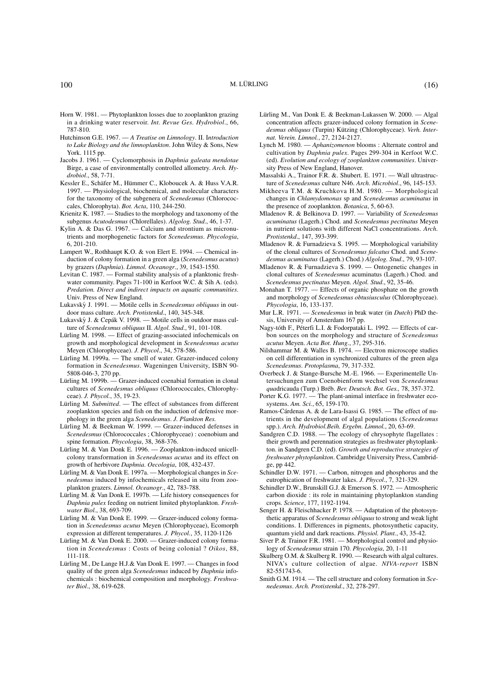- Horn W. 1981. Phytoplankton losses due to zooplankton grazing in a drinking water reservoir. *Int. Revue Ges. Hydrobiol*., 66, 787-810.
- Hutchinson G.E. 1967. *A Treatise on Limnology*. II. I*ntroduction to Lake Biology and the limnoplankton*. John Wiley & Sons, New York. 1115 pp.
- Jacobs J. 1961. Cyclomorphosis in *Daphnia galeata mendotae* Birge, a case of environmentally controlled allometry. *Arch. Hydrobiol*., 58, 7-71.
- Kessler E., Schäfer M., Hümmer C., Kloboucek A. & Huss V.A.R. 1997. — Physiological, biochemical, and molecular characters for the taxonomy of the subgenera of *Scenedesmus* (Chlorococcales, Chlorophyta). *Bot. Acta*, 110, 244-250.
- Krienitz K. 1987. Studies to the morphology and taxonomy of the subgenus *Acutodesmus* (Chlorellales). *Algolog. Stud*., 46, 1-37.
- Kylin A. & Das G. 1967. Calcium and strontium as micronutrients and morphogenetic factors for *Scenedesmus*. *Phycologia*, 6, 201-210.
- Lampert W., Rothhaupt K.O. & von Elert E. 1994. Chemical induction of colony formation in a green alga (*Scenedesmus acutus*) by grazers (*Daphnia*). *Limnol. Oceanogr*., 39, 1543-1550.
- Levitan C. 1987. Formal stability analysis of a planktonic freshwater community. Pages 71-100 in Kerfoot W.C. & Sih A. (eds). *Predation. Direct and indirect impacts on aquatic communities*. Univ. Press of New England.
- Lukavský J. 1991. Motile cells in *Scenedesmus obliquus* in outdoor mass culture. *Arch. Protistenkd*., 140, 345-348.
- Lukavský J. & Cepák V. 1998. Motile cells in outdoor mass culture of *Scenedesmus obliquus* II. *Algol. Stud*., 91, 101-108.
- Lürling M. 1998. Effect of grazing-associated infochemicals on growth and morphological development in *Scenedesmus acutus* Meyen (Chlorophyceae). *J. Phycol*., 34, 578-586.
- Lürling M. 1999a. The smell of water. Grazer-induced colony formation in *Scenedesmus*. Wageningen University, ISBN 90- 5808-046-3, 270 pp.
- Lürling M. 1999b. Grazer-induced coenabial formation in clonal cultures of *Scenedesmus obliquus* (Chlorococcales, Chlorophyceae). *J. Phycol.*, 35, 19-23.
- Lürling M. *Submitted*. The effect of substances from different zooplankton species and fish on the induction of defensive morphology in the green alga *Scenedesmus*. *J. Plankton Res.*
- Lürling M. & Beekman W. 1999. Grazer-induced defenses in *Scenedesmus* (Chlorococcales ; Chlorophyceae) : coenobium and spine formation. *Phycologia*, 38, 368-376.
- Lürling M. & Van Donk E. 1996. Zooplankton-induced unicellcolony transformation in *Scenedesmus acutus* and its effect on growth of herbivore *Daphnia*. *Oecologia*, 108, 432-437.
- Lürling M. & Van Donk E. 1997a. Morphological changes in *Scenedesmus* induced by infochemicals released in situ from zooplankton grazers. *Limnol. Oceanogr*., 42, 783-788.
- Lürling M. & Van Donk E. 1997b. Life history consequences for *Daphnia pulex* feeding on nutrient limited phytoplankton. *Freshwater Biol.*, 38, 693-709.
- Lürling M. & Van Donk E. 1999. Grazer-induced colony formation in *Scenedesmus acutus* Meyen (Chlorophyceae), Ecomorph expression at different temperatures. *J. Phycol.*, 35, 1120-1126
- Lürling M. & Van Donk E. 2000. Grazer-induced colony formation in *Scenedesmus* : Costs of being colonial ? *Oikos*, 88, 111-118.
- Lürling M., De Lange H.J.& Van Donk E. 1997. Changes in food quality of the green alga *Scenedesmus* induced by *Daphnia* infochemicals : biochemical composition and morphology. *Freshwater Biol*., 38, 619-628.
- Lürling M., Van Donk E. & Beekman-Lukassen W. 2000. Algal concentration affects grazer-induced colony formation in *Scenedesmus obliquus* (Turpin) Kützing (Chlorophyceae). *Verh. Internat. Verein. Limnol.*, 27, 2124-2127.
- Lynch M. 1980. *Aphanizomenon* blooms : Alternate control and cultivation by *Daphnia pulex*. Pages 299-304 in Kerfoot W.C. (ed). *Evolution and ecology of zooplankton communities*. University Press of New England, Hanover.
- Massalski A., Trainor F.R. &. Shubert. E. 1971. Wall ultrastructure of *Scenedesmus* culture N46. *Arch. Microbiol*., 96, 145-153.
- Mikheeva T.M. & Kruchkova H.M. 1980. Morphological changes in *Chlamydomonas* sp and *Scenedesmus acuminatus* in the presence of zooplankton. *Botanica*, 5, 60-63.
- Mladenov R. & Belkinova D. 1997. Variability of *Scenedesmus acuminatus* (Lagerh.) Chod. and *Scenedesmus pectinatus* Meyen in nutrient solutions with different NaCl concentrations. *Arch. Protistenkd*., 147, 393-399.
- Mladenov R. & Furnadzieva S. 1995. Morphological variability of the clonal cultures of *Scenedesmus falcatus* Chod. and *Scenedesmus acuminatus* (Lagerh.) Chod.) *Algolog. Stud*., 79, 93-107.
- Mladenov R. & Furnadzieva S. 1999. Ontogenetic changes in clonal cultures of *Scenedesmus* acuminatus (Lagerh.) Chod. and *Scenedesmus pectinatus* Meyen. *Algol. Stud*., 92, 35-46.
- Monahan T. 1977. Effects of organic phosphate on the growth and morphology of *Scenedesmus obtusiusculus* (Chlorophyceae). *Phycologia*, 16, 133-137.
- Mur L.R. 1971. *Scenedesmus* in brak water (in *Dutch*) PhD thesis, University of Amsterdam 167 pp.
- Nagy-tóth F., Péterfi L.I. & Fodorpataki L. 1992. Effects of carbon sources on the morphology and structure of *Scenedesmus acutus* Meyen. *Acta Bot. Hung*., 37, 295-316.
- Nilshammar M. & Walles B. 1974. Electron microscope studies on cell differentiation in synchronized cultures of the green alga *Scenedesmus*. *Protoplasma*, 79, 317-332.
- Overbeck J. & Stange-Bursche M.-E. 1966. Experimentelle Untersuchungen zum Coenobienform wechsel von *Scenedesmus qua*dricauda (Turp.) Bréb. *Ber. Deutsch. Bot. Ges.,* 78, 357-372.
- Porter K.G. 1977. The plant-animal interface in freshwater ecosystems. *Am. Sci.*, 65, 159-170.
- Ramos-Cárdenas A. & de Lara-Isassi G. 1985. The effect of nutrients in the development of algal populations (*Scenedesmus* spp.). *Arch. Hydrobiol.Beih. Ergebn. Limnol.*, 20, 63-69.
- Sandgren C.D. 1988. The ecology of chrysophyte flagellates : their growth and perennation strategies as freshwater phytoplankton. in Sandgren C.D. (ed). *Growth and reproductive strategies of freshwater phytoplankton*. Cambridge University Press, Cambridge, pp 442.
- Schindler D.W. 1971. Carbon, nitrogen and phosphorus and the eutrophication of freshwater lakes. *J. Phycol*., 7, 321-329.
- Schindler D.W., Brunskill G.J. & Emerson S. 1972. Atmospheric carbon dioxide : its role in maintaining phytoplankton standing crops. *Science*, 177, 1192-1194.
- Senger H. & Fleischhacker P. 1978. Adaptation of the photosynthetic apparatus of *Scenedesmus obliquus* to strong and weak light conditions. I. Differences in pigments, photosynthetic capacity, quantum yield and dark reactions. *Physiol. Plant.*, 43, 35-42.
- Siver P. & Trainor F.R. 1981. Morphological control and physiology of *Scenedesmus* strain 170. *Phycologia*, 20, 1-11
- Skulberg O.M. & Skulberg R. 1990. Research with algal cultures. NIVA's culture collection of algae. *NIVA-report* ISBN 82-551743-6.
- Smith G.M. 1914. The cell structure and colony formation in *Scenedesmus*. *Arch. Protistenkd*., 32, 278-297.